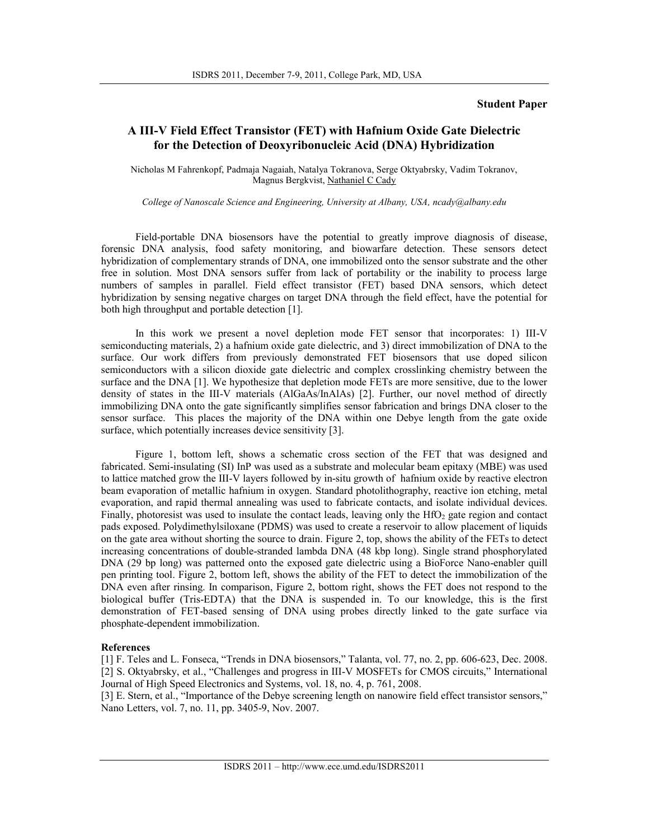## **Student Paper**

## **A III-V Field Effect Transistor (FET) with Hafnium Oxide Gate Dielectric for the Detection of Deoxyribonucleic Acid (DNA) Hybridization**

Nicholas M Fahrenkopf, Padmaja Nagaiah, Natalya Tokranova, Serge Oktyabrsky, Vadim Tokranov, Magnus Bergkvist, Nathaniel C Cady

*College of Nanoscale Science and Engineering, University at Albany, USA, ncady@albany.edu* 

Field-portable DNA biosensors have the potential to greatly improve diagnosis of disease, forensic DNA analysis, food safety monitoring, and biowarfare detection. These sensors detect hybridization of complementary strands of DNA, one immobilized onto the sensor substrate and the other free in solution. Most DNA sensors suffer from lack of portability or the inability to process large numbers of samples in parallel. Field effect transistor (FET) based DNA sensors, which detect hybridization by sensing negative charges on target DNA through the field effect, have the potential for both high throughput and portable detection [1].

In this work we present a novel depletion mode FET sensor that incorporates: 1) III-V semiconducting materials, 2) a hafnium oxide gate dielectric, and 3) direct immobilization of DNA to the surface. Our work differs from previously demonstrated FET biosensors that use doped silicon semiconductors with a silicon dioxide gate dielectric and complex crosslinking chemistry between the surface and the DNA [1]. We hypothesize that depletion mode FETs are more sensitive, due to the lower density of states in the III-V materials (AlGaAs/InAlAs) [2]. Further, our novel method of directly immobilizing DNA onto the gate significantly simplifies sensor fabrication and brings DNA closer to the sensor surface. This places the majority of the DNA within one Debye length from the gate oxide surface, which potentially increases device sensitivity [3].

Figure 1, bottom left, shows a schematic cross section of the FET that was designed and fabricated. Semi-insulating (SI) InP was used as a substrate and molecular beam epitaxy (MBE) was used to lattice matched grow the III-V layers followed by in-situ growth of hafnium oxide by reactive electron beam evaporation of metallic hafnium in oxygen. Standard photolithography, reactive ion etching, metal evaporation, and rapid thermal annealing was used to fabricate contacts, and isolate individual devices. Finally, photoresist was used to insulate the contact leads, leaving only the HfO<sub>2</sub> gate region and contact pads exposed. Polydimethylsiloxane (PDMS) was used to create a reservoir to allow placement of liquids on the gate area without shorting the source to drain. Figure 2, top, shows the ability of the FETs to detect increasing concentrations of double-stranded lambda DNA (48 kbp long). Single strand phosphorylated DNA (29 bp long) was patterned onto the exposed gate dielectric using a BioForce Nano-enabler quill pen printing tool. Figure 2, bottom left, shows the ability of the FET to detect the immobilization of the DNA even after rinsing. In comparison, Figure 2, bottom right, shows the FET does not respond to the biological buffer (Tris-EDTA) that the DNA is suspended in. To our knowledge, this is the first demonstration of FET-based sensing of DNA using probes directly linked to the gate surface via phosphate-dependent immobilization.

## **References**

[1] F. Teles and L. Fonseca, "Trends in DNA biosensors," Talanta, vol. 77, no. 2, pp. 606-623, Dec. 2008. [2] S. Oktyabrsky, et al., "Challenges and progress in III-V MOSFETs for CMOS circuits," International Journal of High Speed Electronics and Systems, vol. 18, no. 4, p. 761, 2008.

[3] E. Stern, et al., "Importance of the Debye screening length on nanowire field effect transistor sensors," Nano Letters, vol. 7, no. 11, pp. 3405-9, Nov. 2007.